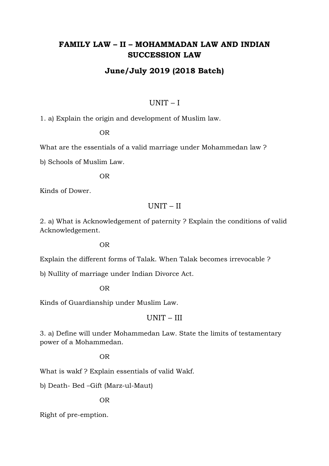# **FAMILY LAW – II – MOHAMMADAN LAW AND INDIAN SUCCESSION LAW**

## **June/July 2019 (2018 Batch)**

#### UNIT – I

1. a) Explain the origin and development of Muslim law.

OR

What are the essentials of a valid marriage under Mohammedan law ?

b) Schools of Muslim Law.

OR

Kinds of Dower.

### UNIT – II

2. a) What is Acknowledgement of paternity ? Explain the conditions of valid Acknowledgement.

OR

Explain the different forms of Talak. When Talak becomes irrevocable ?

b) Nullity of marriage under Indian Divorce Act.

OR

Kinds of Guardianship under Muslim Law.

#### UNIT – III

3. a) Define will under Mohammedan Law. State the limits of testamentary power of a Mohammedan.

#### OR

What is wakf ? Explain essentials of valid Wakf.

b) Death- Bed –Gift (Marz-ul-Maut)

OR

Right of pre-emption.